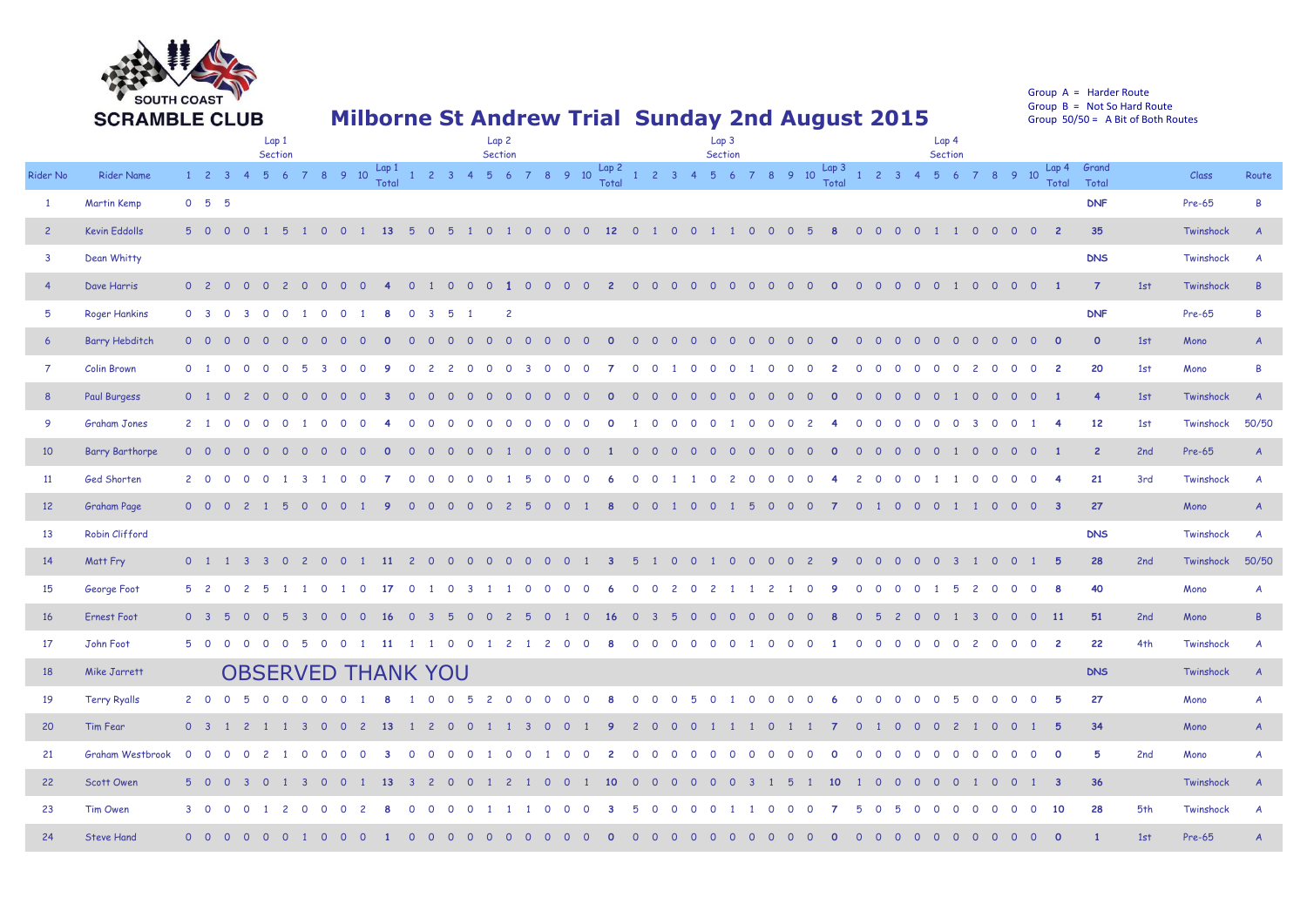

Group A = Harder Route Group  $B = Not So Hard Route$ Group  $50/50 = A$  Bit of Both Routes

## **Milborne St Andrew Trial Sunday 2nd August 2015**

|                 |                        | Lap 1<br>Section            |     |                |                |          |          |                         |                | Lap <sub>2</sub><br>Section |                |                 |                           |                         |                |                |            |                |                     | Lap 3<br>Section |                |                |                |                                       |                |          |          |                |                | Lap 4<br>Section |                                  |                |                         |  |                            |                                     |                |                         |                |                         |                |                |                |                          |                                                                                                                                                                                                                                                                   |     |           |                |
|-----------------|------------------------|-----------------------------|-----|----------------|----------------|----------|----------|-------------------------|----------------|-----------------------------|----------------|-----------------|---------------------------|-------------------------|----------------|----------------|------------|----------------|---------------------|------------------|----------------|----------------|----------------|---------------------------------------|----------------|----------|----------|----------------|----------------|------------------|----------------------------------|----------------|-------------------------|--|----------------------------|-------------------------------------|----------------|-------------------------|----------------|-------------------------|----------------|----------------|----------------|--------------------------|-------------------------------------------------------------------------------------------------------------------------------------------------------------------------------------------------------------------------------------------------------------------|-----|-----------|----------------|
| Rider No        | <b>Rider Name</b>      | $1 \quad 2 \quad 3 \quad 4$ |     |                |                |          |          |                         |                |                             |                |                 |                           |                         |                |                |            |                |                     |                  |                |                |                |                                       |                |          |          |                |                |                  |                                  |                |                         |  |                            |                                     |                |                         |                |                         |                |                |                |                          | $5$ 6 7 8 9 10 $\frac{\text{Lap 1}}{\text{Total}}$ 1 2 3 4 5 6 7 8 9 10 $\frac{\text{Lap 2}}{\text{Total}}$ 1 2 3 4 5 6 7 8 9 10 $\frac{\text{Lap 3}}{\text{Total}}$ 1 2 3 4 5 6 7 8 9 10 $\frac{\text{Lap 4}}{\text{Total}}$ $\frac{\text{Cap 4}}{\text{Total}}$ |     | Class     | Route          |
| $\mathbf{1}$    | <b>Martin Kemp</b>     | $0\quad 5\quad 5$           |     |                |                |          |          |                         |                |                             |                |                 |                           |                         |                |                |            |                |                     |                  |                |                |                |                                       |                |          |          |                |                |                  |                                  |                |                         |  |                            |                                     |                |                         |                |                         |                |                |                |                          | <b>DNF</b>                                                                                                                                                                                                                                                        |     | Pre-65    | B              |
| $\overline{2}$  | <b>Kevin Eddolls</b>   | $5\quad 0$                  |     | $\Omega$       | $\Omega$       |          | - 5      |                         | $\Omega$       |                             |                | $0 \t1 \t13$    |                           | $5\quad0$               | - 5            |                | $1 \Omega$ |                | $1 \quad 0 \quad 0$ |                  | $\overline{0}$ | $\overline{0}$ | 12             | $\begin{array}{cc} 0 & 1 \end{array}$ |                | $\cap$   | $\Omega$ | $\blacksquare$ |                | $\Omega$         | $\Omega$<br>$\overline{0}$       | - 5            | 8                       |  | $\Omega$                   | $0\quad 0$                          | $\Omega$       |                         | $1\quad 0$     |                         | $0\quad 0$     |                | 0 <sub>2</sub> |                          | 35                                                                                                                                                                                                                                                                |     | Twinshock | $\overline{A}$ |
| $\mathbf{3}$    | Dean Whitty            |                             |     |                |                |          |          |                         |                |                             |                |                 |                           |                         |                |                |            |                |                     |                  |                |                |                |                                       |                |          |          |                |                |                  |                                  |                |                         |  |                            |                                     |                |                         |                |                         |                |                |                |                          | <b>DNS</b>                                                                                                                                                                                                                                                        |     | Twinshock | A              |
| $\overline{4}$  | Dave Harris            | 0 <sub>2</sub>              |     |                |                |          |          |                         |                |                             |                |                 |                           |                         | $\Omega$       |                |            |                | $\Omega$            | $\Omega$         | $\Omega$       | $\Omega$       | $\overline{2}$ | $\Omega$                              | <u>ິດ</u>      | $\Omega$ | $\Omega$ | <u>റ</u>       | $\Omega$       | $\overline{0}$   | $0\quad 0$                       | $\overline{0}$ | $\circ$                 |  | $\overline{0}$             | $0\quad 0$                          | $\overline{0}$ | $\overline{0}$          |                |                         | 1 0 0 0        |                | $\overline{0}$ | - 1                      | $\overline{7}$                                                                                                                                                                                                                                                    | 1st | Twinshock | $\overline{B}$ |
| 5               | <b>Roger Hankins</b>   | 0 <sup>3</sup>              |     |                |                |          |          |                         | $\circ$        | $\circ$                     |                | -8              | $\circ$                   | $\overline{\mathbf{3}}$ | 5              |                |            | $\overline{2}$ |                     |                  |                |                |                |                                       |                |          |          |                |                |                  |                                  |                |                         |  |                            |                                     |                |                         |                |                         |                |                |                |                          | <b>DNF</b>                                                                                                                                                                                                                                                        |     | Pre-65    | B              |
| $6\overline{6}$ | <b>Barry Hebditch</b>  | $0\quad 0$                  |     |                | - 0            |          |          |                         |                |                             |                |                 | $\Omega$                  | $\Omega$                | $\Omega$       | - 0            | $\Omega$   | $\circ$        | - 0                 | $\circ$          | $\overline{0}$ | - 0            | $\mathbf{o}$   | $\circ$                               | $\overline{O}$ | $\circ$  | $\circ$  | <b>O</b>       | $\circ$        | $\overline{0}$   | $\overline{O}$<br>$\overline{0}$ | $\overline{O}$ | $\overline{\mathbf{0}}$ |  | $\circ$                    | $\circ$<br>$\overline{\phantom{0}}$ | $\overline{0}$ | $\circ$                 | $\overline{0}$ | $\overline{\mathbf{0}}$ | $\overline{0}$ | $\circ$        | $\overline{0}$ | $\overline{\phantom{0}}$ | $\circ$                                                                                                                                                                                                                                                           | 1st | Mono      | $\overline{A}$ |
| $\overline{7}$  | <b>Colin Brown</b>     | $0 \quad 1$                 |     | - 0            | - റ            | $\Omega$ |          |                         |                | $\Omega$                    | - 0            |                 | $\Omega$                  |                         |                | - റ            | $\Omega$   |                |                     |                  |                |                |                | $\Omega$                              | $\Omega$       |          |          | - 0            | $\Omega$       |                  | - 0<br>- 0                       | $\Omega$       | 2                       |  | $\Omega$<br>$\Omega$       | - 0                                 | - റ            | $\Omega$                | $\Omega$       | $\overline{c}$          | $\Omega$       | $\Omega$       | $\Omega$       | $\overline{2}$           | 20                                                                                                                                                                                                                                                                | 1st | Mono      | B              |
| 8               | <b>Paul Burgess</b>    | $0 \quad 1$                 |     | $\overline{0}$ | 2              |          |          | - 0                     |                |                             |                |                 |                           |                         | $\Omega$       | - 0            | $\Omega$   |                |                     |                  |                |                |                | $\Omega$                              | $\Omega$       |          | $\Omega$ | - 0            |                | $\Omega$         |                                  | $\Omega$       |                         |  | $\circ$<br>$\Omega$        | ി റ                                 | $\overline{0}$ | $\overline{0}$          |                | $\overline{0}$          | $\overline{0}$ | $\overline{0}$ | $\Omega$       |                          | $\overline{4}$                                                                                                                                                                                                                                                    | 1st | Twinshock | $\overline{A}$ |
| 9               | <b>Graham Jones</b>    | $2 \quad 1$                 |     | $\Omega$       | $\Omega$       | $\Omega$ |          |                         |                | $\Omega$                    | $\Omega$       |                 | $\Omega$                  | $\Omega$                | $\Omega$       | $\Omega$       | $\Omega$   | $\Omega$       | $\Omega$            | $\Omega$         | $\Omega$       |                |                |                                       | $\Omega$       | $\cap$   | $\Omega$ | $\Omega$       |                | $\Omega$         | $\Omega$<br>$\Omega$             | 2              |                         |  | $\Omega$                   | $\Omega$<br>$\Omega$                | $\Omega$       | $\mathbf 0$             | $\Omega$       | $\mathbf{3}$            | $\Omega$       | $\Omega$       | $\overline{1}$ | $\overline{\mathbf{A}}$  | 12                                                                                                                                                                                                                                                                | 1st | Twinshock | 50/50          |
| 10 <sup>°</sup> | <b>Barry Barthorpe</b> | $0\quad 0$                  |     |                |                |          |          |                         |                |                             |                |                 |                           |                         |                |                |            |                |                     |                  |                |                |                | $\circ$                               | $\overline{O}$ |          | $\circ$  |                |                |                  |                                  |                |                         |  | $\Omega$                   |                                     | $\overline{0}$ | $\overline{0}$          |                | $\overline{\mathbf{0}}$ | $\overline{0}$ | . റ            |                |                          | $\overline{2}$                                                                                                                                                                                                                                                    | 2nd | Pre-65    | $\overline{A}$ |
| 11              | Ged Shorten            | $2 \quad 0$                 |     |                |                |          |          |                         |                | $\Omega$                    | $\Omega$       |                 | $\Omega$                  | $\Omega$                | $\Omega$       | - റ            | $\Omega$   |                |                     | $\Omega$         |                |                |                | $\Omega$                              | - 0            |          |          | $\Omega$       |                | $\Omega$         | - 0<br>$\cap$                    | $\Omega$       |                         |  | $\overline{z}$<br>$\Omega$ | $\Omega$                            | - 0            |                         |                | $\Omega$                | $\Omega$       | $\Omega$       | $\Omega$       | $\overline{4}$           | 21                                                                                                                                                                                                                                                                | 3rd | Twinshock | A              |
| 12              | <b>Graham Page</b>     | $0\quad 0$                  |     | $\Omega$       | $\overline{2}$ |          |          | $\Omega$                | $\Omega$       | $\Omega$                    |                |                 | $\Omega$                  | $\Omega$                | $\Omega$       | $\Omega$       | $\Omega$   |                |                     | $\Omega$         | $\Omega$       |                |                | $\Omega$                              | $\Omega$       |          | $\Omega$ | $\overline{0}$ |                | 5                | $\overline{0}$<br>$\Omega$       | $\Omega$       |                         |  | $\Omega$                   | $\Omega$                            | $\Omega$       | $\overline{0}$          | $\overline{1}$ | $\blacksquare$          | $\overline{0}$ | $\overline{0}$ | $\overline{0}$ | $\overline{\mathbf{3}}$  | 27                                                                                                                                                                                                                                                                |     | Mono      | $\overline{A}$ |
| 13              | Robin Clifford         |                             |     |                |                |          |          |                         |                |                             |                |                 |                           |                         |                |                |            |                |                     |                  |                |                |                |                                       |                |          |          |                |                |                  |                                  |                |                         |  |                            |                                     |                |                         |                |                         |                |                |                |                          | <b>DNS</b>                                                                                                                                                                                                                                                        |     | Twinshock | $\overline{A}$ |
| 14              | Matt Fry               | $0 \quad 1$                 |     |                |                |          | $\Omega$ | $\overline{z}$          | $\Omega$       | $\Omega$                    |                | $\overline{11}$ |                           | $\Omega$                | $\Omega$       |                | $\Omega$   | $\Omega$       |                     |                  |                |                |                |                                       |                | $\cap$   | $\Omega$ |                | $\Omega$       | $\Omega$         | $\Omega$<br>$\cap$               |                | <b>Q</b>                |  | $\Omega$<br>$\Omega$       | $\cap$                              | $\cap$         | $\Omega$                | $\overline{3}$ |                         | $\Omega$       | $\Omega$       |                | - 5                      | 28                                                                                                                                                                                                                                                                | 2nd | Twinshock | 50/50          |
| 15              | George Foot            | 5 <sub>2</sub>              |     | $\mathbf{O}$   |                |          |          |                         |                |                             |                |                 |                           |                         | $\Omega$       |                |            |                |                     |                  |                |                |                | $\Omega$                              |                |          | $\Omega$ |                |                |                  | $\overline{c}$                   | $\Omega$       |                         |  |                            | $\circ$                             |                |                         | 5              |                         | $\mathbf 0$    | $\circ$        | $\overline{O}$ | -8                       | 40                                                                                                                                                                                                                                                                |     | Mono      | A              |
| 16              | <b>Ernest Foot</b>     | 0 <sup>3</sup>              |     | -5             | - 0            | - 0      |          |                         | <sup>O</sup>   | $\Omega$                    | - 0            | -16             | - 0                       |                         | $\overline{b}$ | - 0            | $\Omega$   |                | $\overline{b}$      | $\Omega$         |                | $\Omega$       | 16             | $\circ$                               | - 3            | -5       | $\Omega$ | - 0            | - 0            | $\Omega$         | - 0<br>0                         | $\Omega$       |                         |  | $\circ$                    | 5<br>$\overline{2}$                 | $\overline{0}$ | $\circ$                 | $\overline{1}$ | - 3                     | $\overline{0}$ | $\overline{0}$ | $\overline{0}$ | 11                       | 51                                                                                                                                                                                                                                                                | 2nd | Mono      | $\mathsf{B}$   |
| 17              | John Foot              | 5 <sub>0</sub>              |     |                |                |          |          |                         | $\Omega$       | $\circ$                     |                | 11              |                           |                         | $\circ$        | $\mathbf{O}$   |            |                |                     |                  |                |                |                |                                       |                |          |          |                |                |                  |                                  |                |                         |  |                            | $\Omega$<br>$\Omega$                | $\Omega$       | $\circ$                 | $\overline{0}$ | $\overline{c}$          | $\mathbf{O}$   | $\overline{0}$ | $\circ$        | $\overline{2}$           | 22                                                                                                                                                                                                                                                                | 4th | Twinshock | $\overline{A}$ |
| 18              | <b>Mike Jarrett</b>    |                             |     |                |                |          |          |                         |                |                             |                |                 | <b>OBSERVED THANK YOU</b> |                         |                |                |            |                |                     |                  |                |                |                |                                       |                |          |          |                |                |                  |                                  |                |                         |  |                            |                                     |                |                         |                |                         |                |                |                |                          | <b>DNS</b>                                                                                                                                                                                                                                                        |     | Twinshock | $\overline{A}$ |
| 19              | <b>Terry Ryalls</b>    | $2 \quad 0$                 |     | $\Omega$       |                |          | $\Omega$ | $\Omega$                |                |                             |                |                 |                           | $\Omega$                | $\Omega$       | -5             | 2          | $\overline{0}$ |                     | $0\quad 0$       | $\circ$        | $\Omega$       | -8             | $\Omega$                              | $\Omega$       | $\Omega$ | -5       | $\Omega$       | $\overline{1}$ | $\Omega$         | $\Omega$<br>$\overline{0}$       | $\Omega$       | -6                      |  | $\Omega$                   | $0\quad 0$                          | $\Omega$       | $\overline{\mathbf{0}}$ | $-5$           | $\circ$                 | $0\quad 0$     |                | 0 <sub>5</sub> |                          | 27                                                                                                                                                                                                                                                                |     | Mono      | A              |
| 20              | Tim Fear               | 0 <sup>3</sup>              |     |                | $\mathcal{L}$  |          |          | $\overline{\mathbf{3}}$ | $\overline{0}$ | $\circ$                     | $\overline{2}$ | -13             | $\bigcup$                 | $\overline{z}$          | $\circ$        | $\overline{0}$ |            |                | -3                  | $\Omega$         | $\overline{0}$ |                | -9             | $\mathbf{2}$                          | $\overline{0}$ | - 0      | $\circ$  |                |                |                  | $\overline{0}$                   |                | -7                      |  | $\circ$                    | $\overline{\mathbf{0}}$             | $\overline{0}$ | $\circ$                 | - 2            |                         | $\overline{0}$ | $\circ$        |                | -5                       | 34                                                                                                                                                                                                                                                                |     | Mono      | $\overline{A}$ |
| 21              | Graham Westbrook       | $\overline{\mathbf{0}}$     | - റ |                |                |          |          |                         |                |                             |                |                 |                           |                         |                |                |            |                |                     |                  |                |                |                |                                       |                |          |          |                |                |                  |                                  |                |                         |  |                            |                                     |                |                         | $\Omega$       | $\Omega$                | $\Omega$       | - 0            | $\Omega$       | $\circ$                  | 5                                                                                                                                                                                                                                                                 | 2nd | Mono      | A              |
| 22              | Scott Owen             | $5\quad 0$                  |     |                |                |          |          |                         |                |                             |                |                 |                           |                         |                |                |            |                |                     |                  |                |                | 10             | $\Omega$                              |                |          | $\Omega$ |                |                |                  |                                  |                | 10 <sup>°</sup>         |  |                            | $\Omega$                            |                | $\mathbf{0}$            | $\overline{0}$ |                         | $\circ$        | $\overline{0}$ |                | $\overline{\mathbf{3}}$  | 36                                                                                                                                                                                                                                                                |     | Twinshock |                |
| 23              | Tim Owen               | $3 \quad 0$                 |     | $\Omega$       |                |          |          |                         |                |                             |                |                 |                           |                         |                |                |            |                |                     |                  |                |                |                |                                       |                |          |          | - റ            |                |                  | $\Omega$                         |                |                         |  |                            |                                     |                |                         | $\Omega$       | $\cap$                  | $\Omega$       | $\Omega$       | $\Omega$       | 10                       | 28                                                                                                                                                                                                                                                                | 5th | Twinshock | $\overline{A}$ |
| 24              | <b>Steve Hand</b>      | $0\quad 0$                  |     |                |                |          |          |                         |                |                             |                |                 |                           |                         |                |                |            |                |                     |                  |                |                |                |                                       |                |          |          |                |                |                  |                                  |                |                         |  |                            |                                     |                |                         |                |                         |                |                |                |                          | $\mathbf{1}$                                                                                                                                                                                                                                                      | 1st | Pre-65    | $\mathsf{A}$   |